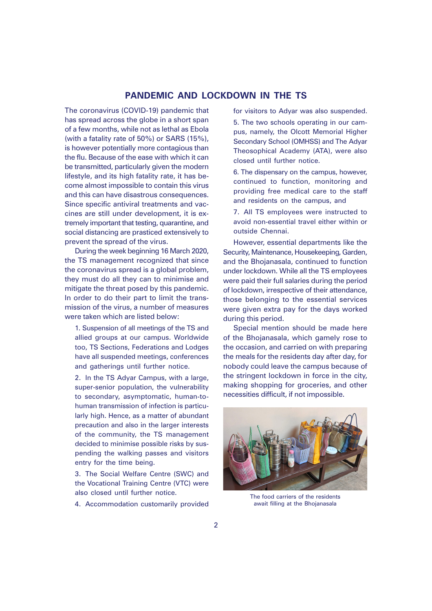### **PANDEMIC AND LOCKDOWN IN THE TS**

The coronavirus (COVID-19) pandemic that has spread across the globe in a short span of a few months, while not as lethal as Ebola (with a fatality rate of 50%) or SARS (15%), is however potentially more contagious than the flu. Because of the ease with which it can be transmitted, particularly given the modern lifestyle, and its high fatality rate, it has become almost impossible to contain this virus and this can have disastrous consequences. Since specific antiviral treatments and vaccines are still under development, it is extremely important that testing, quarantine, and social distancing are prasticed extensively to prevent the spread of the virus.

During the week beginning 16 March 2020, the TS management recognized that since the coronavirus spread is a global problem, they must do all they can to minimise and mitigate the threat posed by this pandemic. In order to do their part to limit the transmission of the virus, a number of measures were taken which are listed below:

1. Suspension of all meetings of the TS and allied groups at our campus. Worldwide too, TS Sections, Federations and Lodges have all suspended meetings, conferences and gatherings until further notice.

2. In the TS Adyar Campus, with a large, super-senior population, the vulnerability to secondary, asymptomatic, human-tohuman transmission of infection is particularly high. Hence, as a matter of abundant precaution and also in the larger interests of the community, the TS management decided to minimise possible risks by suspending the walking passes and visitors entry for the time being.

3. The Social Welfare Centre (SWC) and the Vocational Training Centre (VTC) were also closed until further notice.

4. Accommodation customarily provided

for visitors to Adyar was also suspended.

5. The two schools operating in our campus, namely, the Olcott Memorial Higher Secondary School (OMHSS) and The Adyar Theosophical Academy (ATA), were also closed until further notice.

6. The dispensary on the campus, however, continued to function, monitoring and providing free medical care to the staff and residents on the campus, and

7. All TS employees were instructed to avoid non-essential travel either within or outside Chennai.

However, essential departments like the Security, Maintenance, Housekeeping, Garden, and the Bhojanasala, continued to function under lockdown. While all the TS employees were paid their full salaries during the period of lockdown, irrespective of their attendance, those belonging to the essential services were given extra pay for the days worked during this period.

Special mention should be made here of the Bhojanasala, which gamely rose to the occasion, and carried on with preparing the meals for the residents day after day, for nobody could leave the campus because of the stringent lockdown in force in the city, making shopping for groceries, and other necessities difficult, if not impossible.



The food carriers of the residents await filling at the Bhojanasala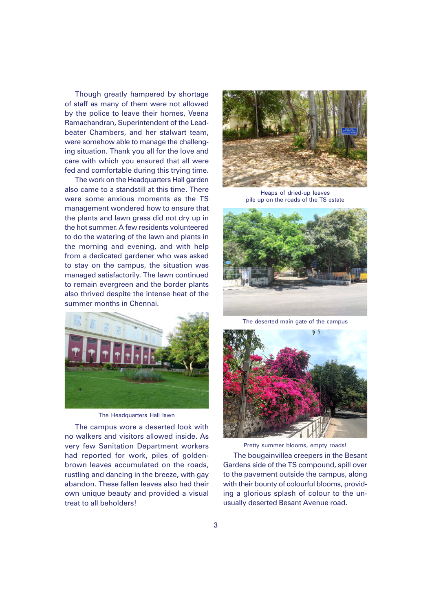Though greatly hampered by shortage of staff as many of them were not allowed by the police to leave their homes, Veena Ramachandran, Superintendent of the Leadbeater Chambers, and her stalwart team, were somehow able to manage the challenging situation. Thank you all for the love and care with which you ensured that all were fed and comfortable during this trying time.

The work on the Headquarters Hall garden also came to a standstill at this time. There were some anxious moments as the TS management wondered how to ensure that the plants and lawn grass did not dry up in the hot summer. A few residents volunteered to do the watering of the lawn and plants in the morning and evening, and with help from a dedicated gardener who was asked to stay on the campus, the situation was managed satisfactorily. The lawn continued to remain evergreen and the border plants also thrived despite the intense heat of the summer months in Chennai.



The Headquarters Hall lawn

The campus wore a deserted look with no walkers and visitors allowed inside. As very few Sanitation Department workers had reported for work, piles of goldenbrown leaves accumulated on the roads, rustling and dancing in the breeze, with gay abandon. These fallen leaves also had their own unique beauty and provided a visual treat to all beholders!



Heaps of dried-up leaves pile up on the roads of the TS estate



The deserted main gate of the campus



The bougainvillea creepers in the Besant Gardens side of the TS compound, spill over to the pavement outside the campus, along with their bounty of colourful blooms, providing a glorious splash of colour to the unusually deserted Besant Avenue road. Pretty summer blooms, empty roads!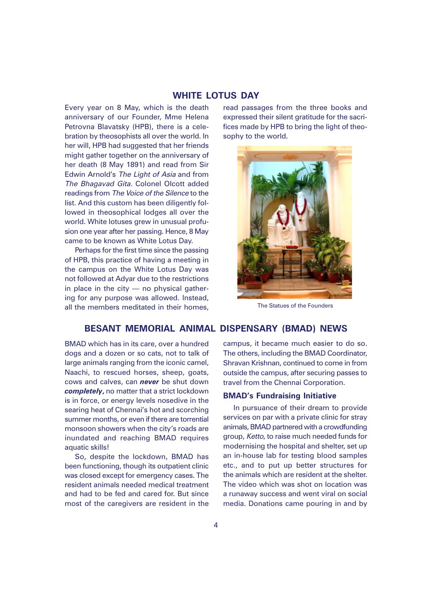#### **WHITE LOTUS DAY**

Every year on 8 May, which is the death anniversary of our Founder, Mme Helena Petrovna Blavatsky (HPB), there is a celebration by theosophists all over the world. In her will, HPB had suggested that her friends might gather together on the anniversary of her death (8 May 1891) and read from Sir Edwin Arnold's The Light of Asia and from The Bhagavad Gita. Colonel Olcott added readings from The Voice of the Silence to the list. And this custom has been diligently followed in theosophical lodges all over the world. White lotuses grew in unusual profusion one year after her passing. Hence, 8 May came to be known as White Lotus Day.

Perhaps for the first time since the passing of HPB, this practice of having a meeting in the campus on the White Lotus Day was not followed at Adyar due to the restrictions in place in the city — no physical gathering for any purpose was allowed. Instead, all the members meditated in their homes,

read passages from the three books and expressed their silent gratitude for the sacrifices made by HPB to bring the light of theosophy to the world.



The Statues of the Founders

#### **BESANT MEMORIAL ANIMAL DISPENSARY (BMAD) NEWS**

BMAD which has in its care, over a hundred dogs and a dozen or so cats, not to talk of large animals ranging from the iconic camel, Naachi, to rescued horses, sheep, goats, cows and calves, can *never* be shut down *completely***,** no matter that a strict lockdown is in force, or energy levels nosedive in the searing heat of Chennai's hot and scorching summer months, or even if there are torrential monsoon showers when the city's roads are inundated and reaching BMAD requires aquatic skills!

So, despite the lockdown, BMAD has been functioning, though its outpatient clinic was closed except for emergency cases. The resident animals needed medical treatment and had to be fed and cared for. But since most of the caregivers are resident in the

campus, it became much easier to do so. The others, including the BMAD Coordinator, Shravan Krishnan, continued to come in from outside the campus, after securing passes to travel from the Chennai Corporation.

#### **BMAD's Fundraising Initiative**

In pursuance of their dream to provide services on par with a private clinic for stray animals, BMAD partnered with a crowdfunding group, Ketto, to raise much needed funds for modernising the hospital and shelter, set up an in-house lab for testing blood samples etc., and to put up better structures for the animals which are resident at the shelter. The video which was shot on location was a runaway success and went viral on social media. Donations came pouring in and by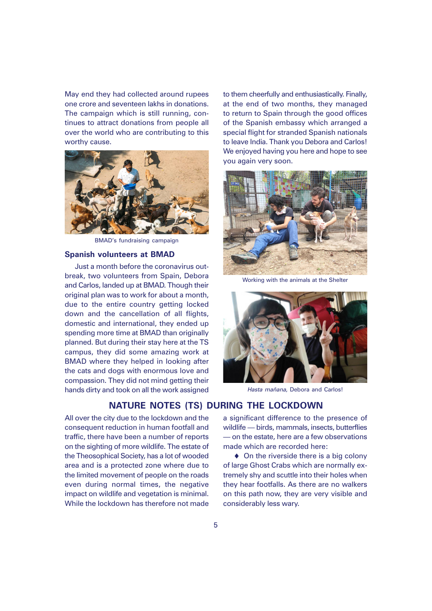May end they had collected around rupees one crore and seventeen lakhs in donations. The campaign which is still running, continues to attract donations from people all over the world who are contributing to this worthy cause.



BMAD's fundraising campaign

#### **Spanish volunteers at BMAD**

Just a month before the coronavirus outbreak, two volunteers from Spain, Debora and Carlos, landed up at BMAD. Though their original plan was to work for about a month, due to the entire country getting locked down and the cancellation of all flights, domestic and international, they ended up spending more time at BMAD than originally planned. But during their stay here at the TS campus, they did some amazing work at BMAD where they helped in looking after the cats and dogs with enormous love and compassion. They did not mind getting their hands dirty and took on all the work assigned

**NATURE NOTES (TS) DURING THE LOCKDOWN**

All over the city due to the lockdown and the consequent reduction in human footfall and traffic, there have been a number of reports on the sighting of more wildlife. The estate of the Theosophical Society, has a lot of wooded area and is a protected zone where due to the limited movement of people on the roads even during normal times, the negative impact on wildlife and vegetation is minimal. While the lockdown has therefore not made

to them cheerfully and enthusiastically. Finally, at the end of two months, they managed to return to Spain through the good offices of the Spanish embassy which arranged a special flight for stranded Spanish nationals to leave India. Thank you Debora and Carlos! We enjoyed having you here and hope to see you again very soon.



Working with the animals at the Shelter



Hasta mañana, Debora and Carlos!

a significant difference to the presence of wildlife — birds, mammals, insects, butterflies — on the estate, here are a few observations made which are recorded here:

 $\triangle$  On the riverside there is a big colony of large Ghost Crabs which are normally extremely shy and scuttle into their holes when they hear footfalls. As there are no walkers on this path now, they are very visible and considerably less wary.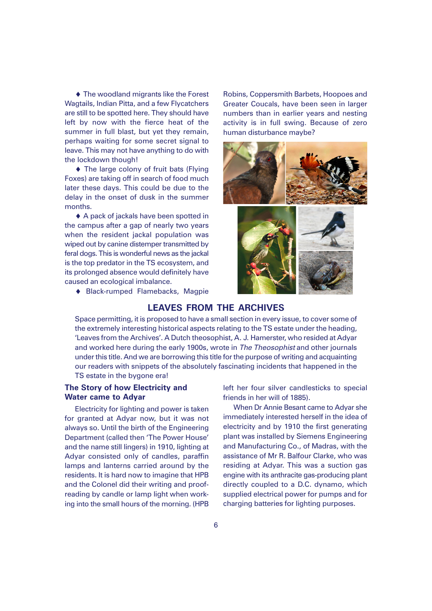♦ The woodland migrants like the Forest Wagtails, Indian Pitta, and a few Flycatchers are still to be spotted here. They should have left by now with the fierce heat of the summer in full blast, but yet they remain, perhaps waiting for some secret signal to leave. This may not have anything to do with the lockdown though!

♦ The large colony of fruit bats (Flying Foxes) are taking off in search of food much later these days. This could be due to the delay in the onset of dusk in the summer months.

♦ A pack of jackals have been spotted in the campus after a gap of nearly two years when the resident jackal population was wiped out by canine distemper transmitted by feral dogs. This is wonderful news as the jackal is the top predator in the TS ecosystem, and its prolonged absence would definitely have caused an ecological imbalance.

♦ Black-rumped Flamebacks, Magpie

Robins, Coppersmith Barbets, Hoopoes and Greater Coucals, have been seen in larger numbers than in earlier years and nesting activity is in full swing. Because of zero human disturbance maybe?





## **LEAVES FROM THE ARCHIVES**

Space permitting, it is proposed to have a small section in every issue, to cover some of the extremely interesting historical aspects relating to the TS estate under the heading, 'Leaves from the Archives'. A Dutch theosophist, A. J. Hamerster, who resided at Adyar and worked here during the early 1900s, wrote in The Theosophist and other journals under this title. And we are borrowing this title for the purpose of writing and acquainting our readers with snippets of the absolutely fascinating incidents that happened in the TS estate in the bygone era!

### **The Story of how Electricity and Water came to Adyar**

Electricity for lighting and power is taken for granted at Adyar now, but it was not always so. Until the birth of the Engineering Department (called then 'The Power House' and the name still lingers) in 1910, lighting at Adyar consisted only of candles, paraffin lamps and lanterns carried around by the residents. It is hard now to imagine that HPB and the Colonel did their writing and proofreading by candle or lamp light when working into the small hours of the morning. (HPB

left her four silver candlesticks to special friends in her will of 1885).

When Dr Annie Besant came to Adyar she immediately interested herself in the idea of electricity and by 1910 the first generating plant was installed by Siemens Engineering and Manufacturing Co., of Madras, with the assistance of Mr R. Balfour Clarke, who was residing at Adyar. This was a suction gas engine with its anthracite gas-producing plant directly coupled to a D.C. dynamo, which supplied electrical power for pumps and for charging batteries for lighting purposes.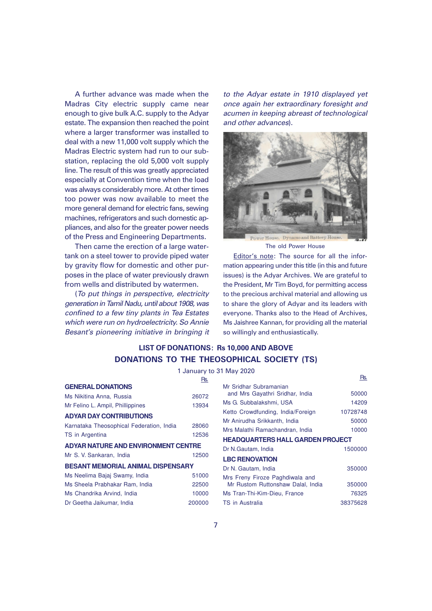A further advance was made when the Madras City electric supply came near enough to give bulk A.C. supply to the Adyar estate. The expansion then reached the point where a larger transformer was installed to deal with a new 11,000 volt supply which the Madras Electric system had run to our substation, replacing the old 5,000 volt supply line. The result of this was greatly appreciated especially at Convention time when the load was always considerably more. At other times too power was now available to meet the more general demand for electric fans, sewing machines, refrigerators and such domestic appliances, and also for the greater power needs of the Press and Engineering Departments.

Then came the erection of a large watertank on a steel tower to provide piped water by gravity flow for domestic and other purposes in the place of water previously drawn from wells and distributed by watermen.

(To put things in perspective, electricity generation in Tamil Nadu, until about 1908, was confined to a few tiny plants in Tea Estates which were run on hydroelectricity. So Annie Besant's pioneering initiative in bringing it to the Adyar estate in 1910 displayed yet once again her extraordinary foresight and acumen in keeping abreast of technological and other advances).



The old Power House

Editor's note: The source for all the information appearing under this title (in this and future issues) is the Adyar Archives. We are grateful to the President, Mr Tim Boyd, for permitting access to the precious archival material and allowing us to share the glory of Adyar and its leaders with everyone. Thanks also to the Head of Archives, Ms Jaishree Kannan, for providing all the material so willingly and enthusiastically.

# **LIST OF DONATIONS: Rs 10,000 AND ABOVE DONATIONS TO THE THEOSOPHICAL SOCIETY (TS)**

1 January to 31 May 2020

|                                            | Rs.    |
|--------------------------------------------|--------|
| <b>GENERAL DONATIONS</b>                   |        |
| Ms Nikitina Anna, Russia                   | 26072  |
| Mr Felino L. Ampil, Phillippines           | 13934  |
| <b>ADYAR DAY CONTRIBUTIONS</b>             |        |
| Karnataka Theosophical Federation, India   | 28060  |
| TS in Argentina                            | 12536  |
| <b>ADYAR NATURE AND ENVIRONMENT CENTRE</b> |        |
| Mr S. V. Sankaran, India                   | 12500  |
| <b>BESANT MEMORIAL ANIMAL DISPENSARY</b>   |        |
| Ms Neelima Bajaj Swamy, India              | 51000  |
| Ms Sheela Prabhakar Ram, India             | 22500  |
| Ms Chandrika Arvind, India                 | 10000  |
| Dr Geetha Jaikumar, India                  | 200000 |

| Rs. |                                                           | Rs.      |  |  |  |
|-----|-----------------------------------------------------------|----------|--|--|--|
| 072 | Mr Sridhar Subramanian<br>and Mrs Gayathri Sridhar, India | 50000    |  |  |  |
| 934 | Ms G. Subbalakshmi, USA                                   | 14209    |  |  |  |
|     | Ketto Crowdfunding, India/Foreign                         | 10728748 |  |  |  |
|     | Mr Anirudha Srikkanth. India                              | 50000    |  |  |  |
| 060 | Mrs Malathi Ramachandran. India                           | 10000    |  |  |  |
| 536 | <b>HEADQUARTERS HALL GARDEN PROJECT</b>                   |          |  |  |  |
| Ĩ,  | Dr N.Gautam, India                                        | 1500000  |  |  |  |
| 500 | <b>LBC RENOVATION</b>                                     |          |  |  |  |
|     | Dr N. Gautam, India                                       | 350000   |  |  |  |
| 000 | Mrs Freny Firoze Paghdiwala and                           |          |  |  |  |
| 500 | Mr Rustom Ruttonshaw Dalal, India                         | 350000   |  |  |  |
| 000 | Ms Tran-Thi-Kim-Dieu, France                              | 76325    |  |  |  |
| 200 | TS in Australia                                           | 38375628 |  |  |  |